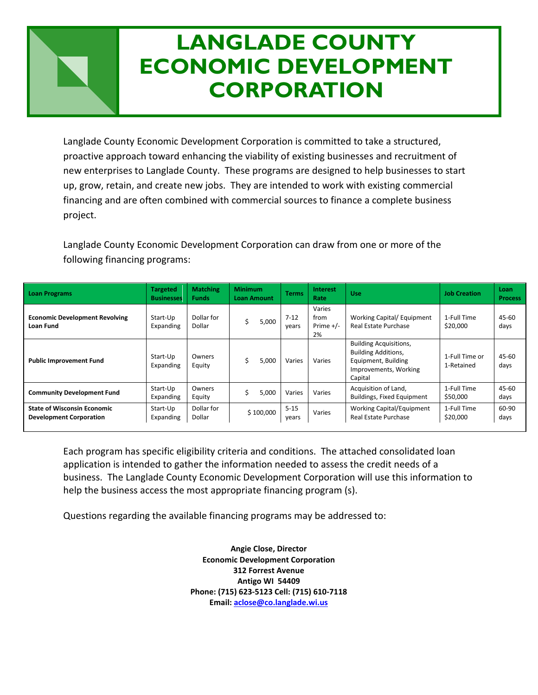# **LANGLADE CONDOMINITY CONTINUES LOAN FINANCING PROGRAMS CORPORATIONLANGLADE COUNTY ECONOMIC DEVELOPMENT**

Langlade County Economic Development Corporation is committed to take a structured, proactive approach toward enhancing the viability of existing businesses and recruitment of new enterprises to Langlade County. These programs are designed to help businesses to start up, grow, retain, and create new jobs. They are intended to work with existing commercial financing and are often combined with commercial sources to finance a complete business project.

Langlade County Economic Development Corporation can draw from one or more of the following financing programs:

| <b>Loan Programs</b>                                                 | <b>Targeted</b><br><b>Businesses</b> | <b>Matching</b><br><b>Funds</b> | <b>Minimum</b><br><b>Loan Amount</b> | <b>Terms</b>      | Interest<br>Rate                    | <b>Use</b>                                                                                                             | <b>Job Creation</b>          | Loan<br><b>Process</b> |
|----------------------------------------------------------------------|--------------------------------------|---------------------------------|--------------------------------------|-------------------|-------------------------------------|------------------------------------------------------------------------------------------------------------------------|------------------------------|------------------------|
| <b>Economic Development Revolving</b><br>Loan Fund                   | Start-Up<br>Expanding                | Dollar for<br>Dollar            | 5,000                                | $7 - 12$<br>years | Varies<br>from<br>Prime $+/-$<br>2% | Working Capital/ Equipment<br>Real Estate Purchase                                                                     | 1-Full Time<br>\$20,000      | 45-60<br>days          |
| <b>Public Improvement Fund</b>                                       | Start-Up<br>Expanding                | Owners<br>Equity                | 5,000                                | Varies            | Varies                              | <b>Building Acquisitions,</b><br><b>Building Additions,</b><br>Equipment, Building<br>Improvements, Working<br>Capital | 1-Full Time or<br>1-Retained | 45-60<br>days          |
| <b>Community Development Fund</b>                                    | Start-Up<br>Expanding                | Owners<br>Equity                | 5,000                                | Varies            | Varies                              | Acquisition of Land,<br><b>Buildings, Fixed Equipment</b>                                                              | 1-Full Time<br>\$50,000      | 45-60<br>days          |
| <b>State of Wisconsin Economic</b><br><b>Development Corporation</b> | Start-Up<br>Expanding                | Dollar for<br>Dollar            | \$100,000                            | $5 - 15$<br>years | Varies                              | <b>Working Capital/Equipment</b><br>Real Estate Purchase                                                               | 1-Full Time<br>\$20,000      | 60-90<br>days          |

Each program has specific eligibility criteria and conditions. The attached consolidated loan application is intended to gather the information needed to assess the credit needs of a business. The Langlade County Economic Development Corporation will use this information to help the business access the most appropriate financing program (s).

Questions regarding the available financing programs may be addressed to:

**Angie Close, Director Economic Development Corporation 312 Forrest Avenue Antigo WI 54409 Phone: (715) 623-5123 Cell: (715) 610-7118 Email[: aclose@co.langlade.wi.us](mailto:aclose@co.langlade.wi.us)**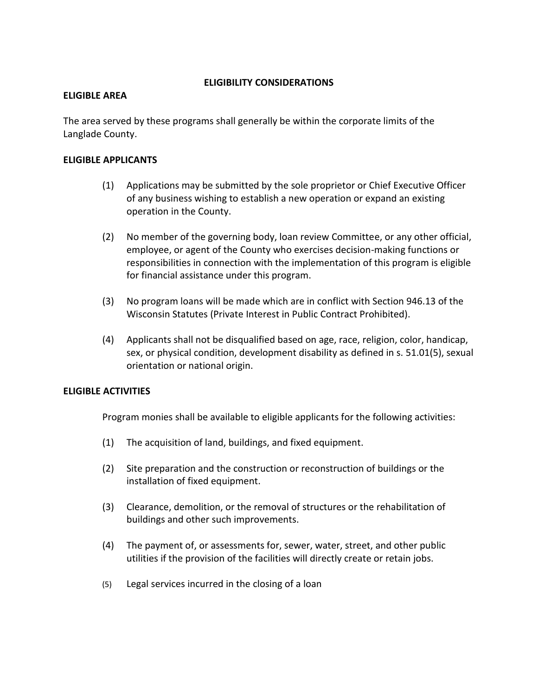## **ELIGIBILITY CONSIDERATIONS**

#### **ELIGIBLE AREA**

The area served by these programs shall generally be within the corporate limits of the Langlade County.

#### **ELIGIBLE APPLICANTS**

- (1) Applications may be submitted by the sole proprietor or Chief Executive Officer of any business wishing to establish a new operation or expand an existing operation in the County.
- (2) No member of the governing body, loan review Committee, or any other official, employee, or agent of the County who exercises decision-making functions or responsibilities in connection with the implementation of this program is eligible for financial assistance under this program.
- (3) No program loans will be made which are in conflict with Section 946.13 of the Wisconsin Statutes (Private Interest in Public Contract Prohibited).
- (4) Applicants shall not be disqualified based on age, race, religion, color, handicap, sex, or physical condition, development disability as defined in s. 51.01(5), sexual orientation or national origin.

# **ELIGIBLE ACTIVITIES**

Program monies shall be available to eligible applicants for the following activities:

- (1) The acquisition of land, buildings, and fixed equipment.
- (2) Site preparation and the construction or reconstruction of buildings or the installation of fixed equipment.
- (3) Clearance, demolition, or the removal of structures or the rehabilitation of buildings and other such improvements.
- (4) The payment of, or assessments for, sewer, water, street, and other public utilities if the provision of the facilities will directly create or retain jobs.
- (5) Legal services incurred in the closing of a loan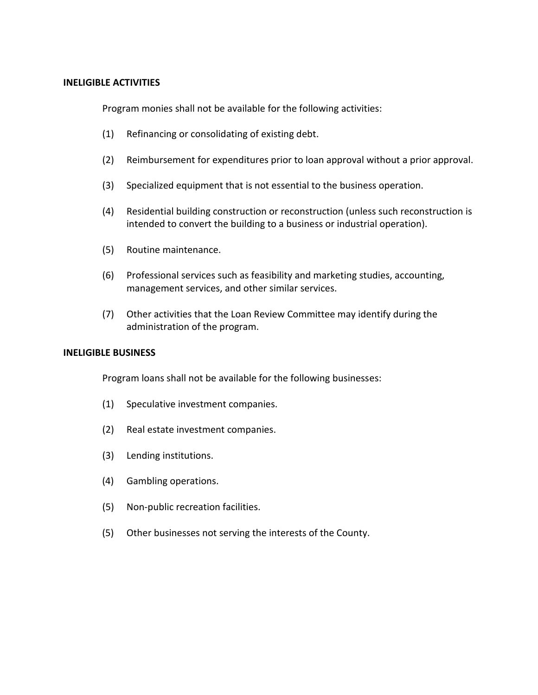#### **INELIGIBLE ACTIVITIES**

Program monies shall not be available for the following activities:

- (1) Refinancing or consolidating of existing debt.
- (2) Reimbursement for expenditures prior to loan approval without a prior approval.
- (3) Specialized equipment that is not essential to the business operation.
- (4) Residential building construction or reconstruction (unless such reconstruction is intended to convert the building to a business or industrial operation).
- (5) Routine maintenance.
- (6) Professional services such as feasibility and marketing studies, accounting, management services, and other similar services.
- (7) Other activities that the Loan Review Committee may identify during the administration of the program.

# **INELIGIBLE BUSINESS**

Program loans shall not be available for the following businesses:

- (1) Speculative investment companies.
- (2) Real estate investment companies.
- (3) Lending institutions.
- (4) Gambling operations.
- (5) Non-public recreation facilities.
- (5) Other businesses not serving the interests of the County.